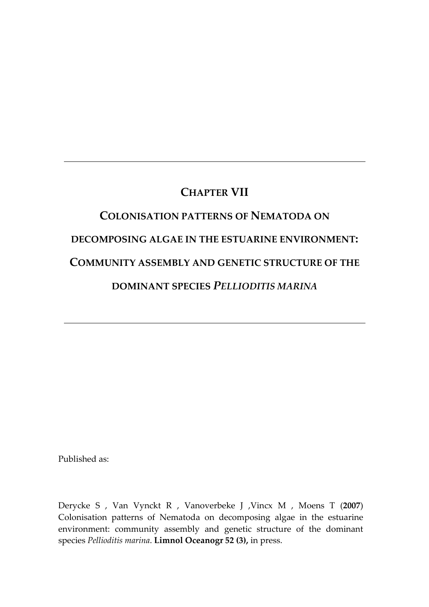# CHAPTER VII

# COLONISATION PATTERNS OF NEMATODA ON DECOMPOSING ALGAE IN THE ESTUARINE ENVIRONMENT: COMMUNITY ASSEMBLY AND GENETIC STRUCTURE OF THE DOMINANT SPECIES PELLIODITIS MARINA

Published as:

Derycke S , Van Vynckt R , Vanoverbeke J ,Vincx M , Moens T (2007) Colonisation patterns of Nematoda on decomposing algae in the estuarine environment: community assembly and genetic structure of the dominant species Pellioditis marina. Limnol Oceanogr 52 (3), in press.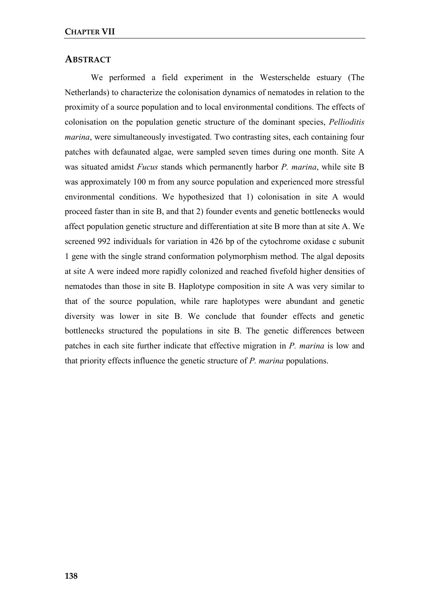# **ABSTRACT**

We performed a field experiment in the Westerschelde estuary (The Netherlands) to characterize the colonisation dynamics of nematodes in relation to the proximity of a source population and to local environmental conditions. The effects of colonisation on the population genetic structure of the dominant species, Pellioditis marina, were simultaneously investigated. Two contrasting sites, each containing four patches with defaunated algae, were sampled seven times during one month. Site A was situated amidst *Fucus* stands which permanently harbor *P. marina*, while site B was approximately 100 m from any source population and experienced more stressful environmental conditions. We hypothesized that 1) colonisation in site A would proceed faster than in site B, and that 2) founder events and genetic bottlenecks would affect population genetic structure and differentiation at site B more than at site A. We screened 992 individuals for variation in 426 bp of the cytochrome oxidase c subunit 1 gene with the single strand conformation polymorphism method. The algal deposits at site A were indeed more rapidly colonized and reached fivefold higher densities of nematodes than those in site B. Haplotype composition in site A was very similar to that of the source population, while rare haplotypes were abundant and genetic diversity was lower in site B. We conclude that founder effects and genetic bottlenecks structured the populations in site B. The genetic differences between patches in each site further indicate that effective migration in P. marina is low and that priority effects influence the genetic structure of P. marina populations.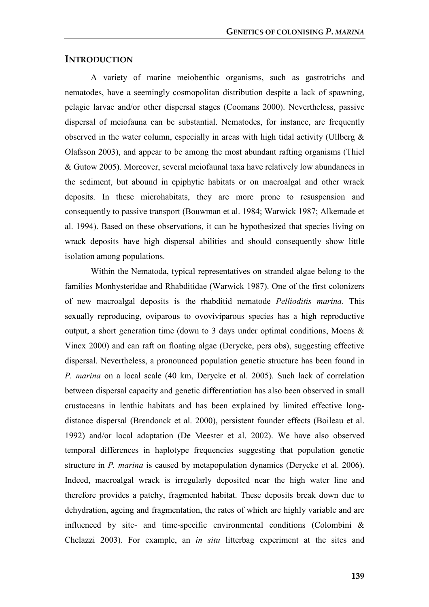# **INTRODUCTION**

A variety of marine meiobenthic organisms, such as gastrotrichs and nematodes, have a seemingly cosmopolitan distribution despite a lack of spawning, pelagic larvae and/or other dispersal stages (Coomans 2000). Nevertheless, passive dispersal of meiofauna can be substantial. Nematodes, for instance, are frequently observed in the water column, especially in areas with high tidal activity (Ullberg & Olafsson 2003), and appear to be among the most abundant rafting organisms (Thiel & Gutow 2005). Moreover, several meiofaunal taxa have relatively low abundances in the sediment, but abound in epiphytic habitats or on macroalgal and other wrack deposits. In these microhabitats, they are more prone to resuspension and consequently to passive transport (Bouwman et al. 1984; Warwick 1987; Alkemade et al. 1994). Based on these observations, it can be hypothesized that species living on wrack deposits have high dispersal abilities and should consequently show little isolation among populations.

Within the Nematoda, typical representatives on stranded algae belong to the families Monhysteridae and Rhabditidae (Warwick 1987). One of the first colonizers of new macroalgal deposits is the rhabditid nematode Pellioditis marina. This sexually reproducing, oviparous to ovoviviparous species has a high reproductive output, a short generation time (down to 3 days under optimal conditions, Moens & Vincx 2000) and can raft on floating algae (Derycke, pers obs), suggesting effective dispersal. Nevertheless, a pronounced population genetic structure has been found in P. marina on a local scale (40 km, Derycke et al. 2005). Such lack of correlation between dispersal capacity and genetic differentiation has also been observed in small crustaceans in lenthic habitats and has been explained by limited effective longdistance dispersal (Brendonck et al. 2000), persistent founder effects (Boileau et al. 1992) and/or local adaptation (De Meester et al. 2002). We have also observed temporal differences in haplotype frequencies suggesting that population genetic structure in P. marina is caused by metapopulation dynamics (Derycke et al. 2006). Indeed, macroalgal wrack is irregularly deposited near the high water line and therefore provides a patchy, fragmented habitat. These deposits break down due to dehydration, ageing and fragmentation, the rates of which are highly variable and are influenced by site- and time-specific environmental conditions (Colombini  $\&$ Chelazzi 2003). For example, an in situ litterbag experiment at the sites and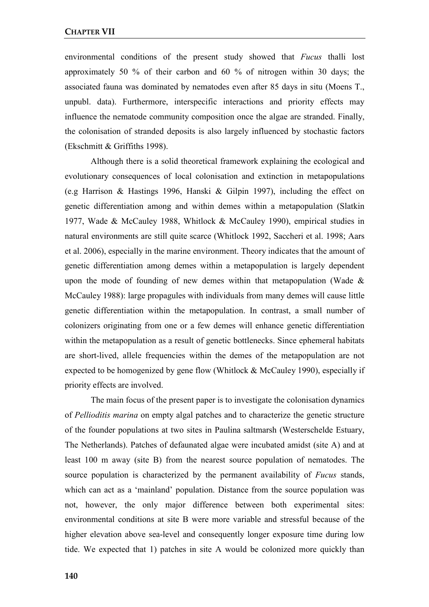environmental conditions of the present study showed that *Fucus* thalli lost approximately 50 % of their carbon and 60 % of nitrogen within 30 days; the associated fauna was dominated by nematodes even after 85 days in situ (Moens T., unpubl. data). Furthermore, interspecific interactions and priority effects may influence the nematode community composition once the algae are stranded. Finally, the colonisation of stranded deposits is also largely influenced by stochastic factors (Ekschmitt & Griffiths 1998).

Although there is a solid theoretical framework explaining the ecological and evolutionary consequences of local colonisation and extinction in metapopulations (e.g Harrison & Hastings 1996, Hanski & Gilpin 1997), including the effect on genetic differentiation among and within demes within a metapopulation (Slatkin 1977, Wade & McCauley 1988, Whitlock & McCauley 1990), empirical studies in natural environments are still quite scarce (Whitlock 1992, Saccheri et al. 1998; Aars et al. 2006), especially in the marine environment. Theory indicates that the amount of genetic differentiation among demes within a metapopulation is largely dependent upon the mode of founding of new demes within that metapopulation (Wade  $\&$ McCauley 1988): large propagules with individuals from many demes will cause little genetic differentiation within the metapopulation. In contrast, a small number of colonizers originating from one or a few demes will enhance genetic differentiation within the metapopulation as a result of genetic bottlenecks. Since ephemeral habitats are short-lived, allele frequencies within the demes of the metapopulation are not expected to be homogenized by gene flow (Whitlock & McCauley 1990), especially if priority effects are involved.

The main focus of the present paper is to investigate the colonisation dynamics of Pellioditis marina on empty algal patches and to characterize the genetic structure of the founder populations at two sites in Paulina saltmarsh (Westerschelde Estuary, The Netherlands). Patches of defaunated algae were incubated amidst (site A) and at least 100 m away (site B) from the nearest source population of nematodes. The source population is characterized by the permanent availability of *Fucus* stands, which can act as a 'mainland' population. Distance from the source population was not, however, the only major difference between both experimental sites: environmental conditions at site B were more variable and stressful because of the higher elevation above sea-level and consequently longer exposure time during low tide. We expected that 1) patches in site A would be colonized more quickly than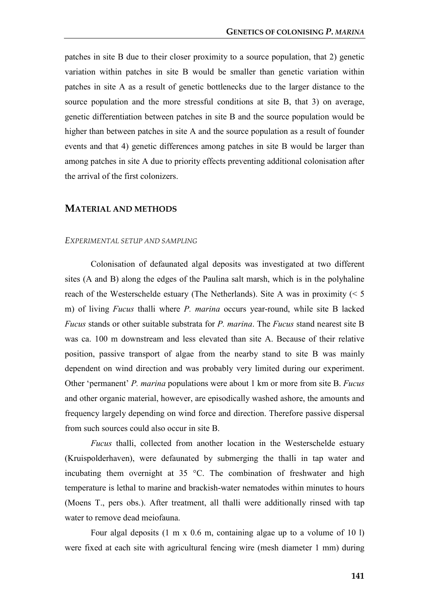patches in site B due to their closer proximity to a source population, that 2) genetic variation within patches in site B would be smaller than genetic variation within patches in site A as a result of genetic bottlenecks due to the larger distance to the source population and the more stressful conditions at site B, that 3) on average, genetic differentiation between patches in site B and the source population would be higher than between patches in site A and the source population as a result of founder events and that 4) genetic differences among patches in site B would be larger than among patches in site A due to priority effects preventing additional colonisation after the arrival of the first colonizers.

# MATERIAL AND METHODS

#### EXPERIMENTAL SETUP AND SAMPLING

Colonisation of defaunated algal deposits was investigated at two different sites (A and B) along the edges of the Paulina salt marsh, which is in the polyhaline reach of the Westerschelde estuary (The Netherlands). Site A was in proximity (< 5 m) of living *Fucus* thalli where *P. marina* occurs year-round, while site B lacked Fucus stands or other suitable substrata for P. marina. The Fucus stand nearest site B was ca. 100 m downstream and less elevated than site A. Because of their relative position, passive transport of algae from the nearby stand to site B was mainly dependent on wind direction and was probably very limited during our experiment. Other 'permanent' P. marina populations were about 1 km or more from site B. Fucus and other organic material, however, are episodically washed ashore, the amounts and frequency largely depending on wind force and direction. Therefore passive dispersal from such sources could also occur in site B.

Fucus thalli, collected from another location in the Westerschelde estuary (Kruispolderhaven), were defaunated by submerging the thalli in tap water and incubating them overnight at 35 °C. The combination of freshwater and high temperature is lethal to marine and brackish-water nematodes within minutes to hours (Moens T., pers obs.). After treatment, all thalli were additionally rinsed with tap water to remove dead meiofauna.

Four algal deposits (1 m x 0.6 m, containing algae up to a volume of 10 l) were fixed at each site with agricultural fencing wire (mesh diameter 1 mm) during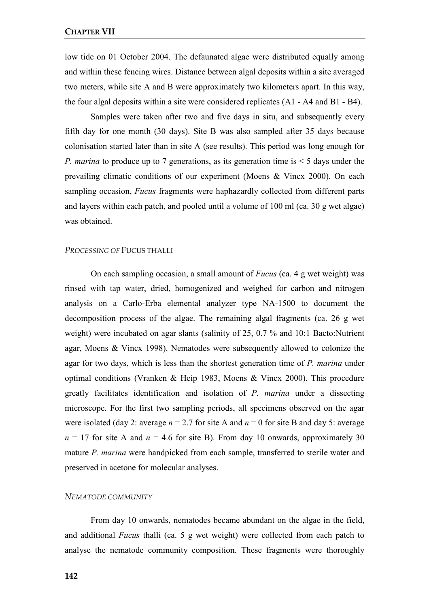low tide on 01 October 2004. The defaunated algae were distributed equally among and within these fencing wires. Distance between algal deposits within a site averaged two meters, while site A and B were approximately two kilometers apart. In this way, the four algal deposits within a site were considered replicates (A1 - A4 and B1 - B4).

Samples were taken after two and five days in situ, and subsequently every fifth day for one month (30 days). Site B was also sampled after 35 days because colonisation started later than in site A (see results). This period was long enough for *P. marina* to produce up to 7 generations, as its generation time is  $\leq$  5 days under the prevailing climatic conditions of our experiment (Moens & Vincx 2000). On each sampling occasion, *Fucus* fragments were haphazardly collected from different parts and layers within each patch, and pooled until a volume of 100 ml (ca. 30 g wet algae) was obtained.

#### PROCESSING OF FUCUS THALLI

On each sampling occasion, a small amount of Fucus (ca. 4 g wet weight) was rinsed with tap water, dried, homogenized and weighed for carbon and nitrogen analysis on a Carlo-Erba elemental analyzer type NA-1500 to document the decomposition process of the algae. The remaining algal fragments (ca. 26 g wet weight) were incubated on agar slants (salinity of 25, 0.7 % and 10:1 Bacto:Nutrient agar, Moens & Vincx 1998). Nematodes were subsequently allowed to colonize the agar for two days, which is less than the shortest generation time of P. marina under optimal conditions (Vranken & Heip 1983, Moens & Vincx 2000). This procedure greatly facilitates identification and isolation of P. marina under a dissecting microscope. For the first two sampling periods, all specimens observed on the agar were isolated (day 2: average  $n = 2.7$  for site A and  $n = 0$  for site B and day 5: average  $n = 17$  for site A and  $n = 4.6$  for site B). From day 10 onwards, approximately 30 mature P. marina were handpicked from each sample, transferred to sterile water and preserved in acetone for molecular analyses.

## NEMATODE COMMUNITY

From day 10 onwards, nematodes became abundant on the algae in the field, and additional Fucus thalli (ca. 5 g wet weight) were collected from each patch to analyse the nematode community composition. These fragments were thoroughly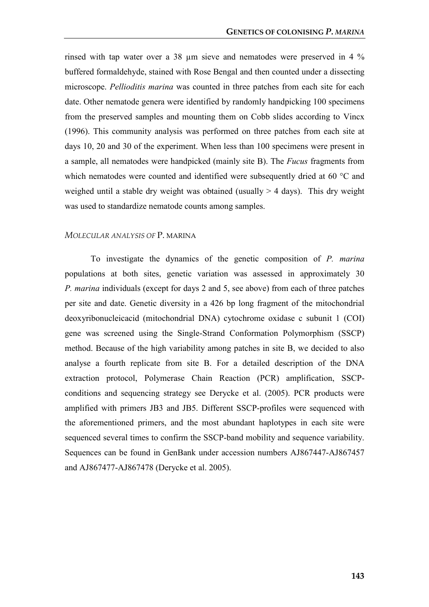rinsed with tap water over a 38 µm sieve and nematodes were preserved in 4 % buffered formaldehyde, stained with Rose Bengal and then counted under a dissecting microscope. Pellioditis marina was counted in three patches from each site for each date. Other nematode genera were identified by randomly handpicking 100 specimens from the preserved samples and mounting them on Cobb slides according to Vincx (1996). This community analysis was performed on three patches from each site at days 10, 20 and 30 of the experiment. When less than 100 specimens were present in a sample, all nematodes were handpicked (mainly site B). The Fucus fragments from which nematodes were counted and identified were subsequently dried at 60 °C and weighed until a stable dry weight was obtained (usually  $>$  4 days). This dry weight was used to standardize nematode counts among samples.

#### MOLECULAR ANALYSIS OF P. MARINA

To investigate the dynamics of the genetic composition of P. marina populations at both sites, genetic variation was assessed in approximately 30 P. marina individuals (except for days 2 and 5, see above) from each of three patches per site and date. Genetic diversity in a 426 bp long fragment of the mitochondrial deoxyribonucleicacid (mitochondrial DNA) cytochrome oxidase c subunit 1 (COI) gene was screened using the Single-Strand Conformation Polymorphism (SSCP) method. Because of the high variability among patches in site B, we decided to also analyse a fourth replicate from site B. For a detailed description of the DNA extraction protocol, Polymerase Chain Reaction (PCR) amplification, SSCPconditions and sequencing strategy see Derycke et al. (2005). PCR products were amplified with primers JB3 and JB5. Different SSCP-profiles were sequenced with the aforementioned primers, and the most abundant haplotypes in each site were sequenced several times to confirm the SSCP-band mobility and sequence variability. Sequences can be found in GenBank under accession numbers AJ867447-AJ867457 and AJ867477-AJ867478 (Derycke et al. 2005).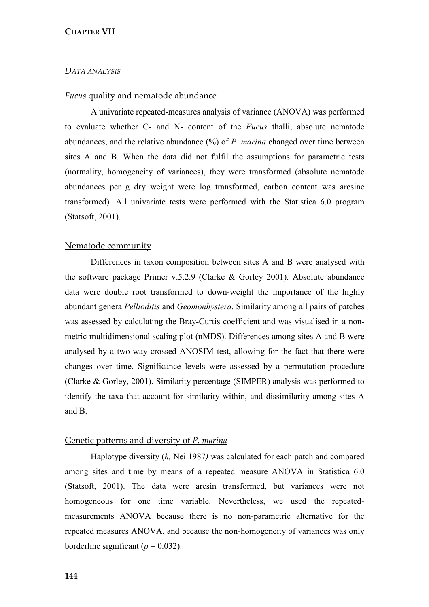#### DATA ANALYSIS

#### Fucus quality and nematode abundance

A univariate repeated-measures analysis of variance (ANOVA) was performed to evaluate whether C- and N- content of the Fucus thalli, absolute nematode abundances, and the relative abundance  $(\%)$  of P. marina changed over time between sites A and B. When the data did not fulfil the assumptions for parametric tests (normality, homogeneity of variances), they were transformed (absolute nematode abundances per g dry weight were log transformed, carbon content was arcsine transformed). All univariate tests were performed with the Statistica 6.0 program (Statsoft, 2001).

#### Nematode community

Differences in taxon composition between sites A and B were analysed with the software package Primer v.5.2.9 (Clarke & Gorley 2001). Absolute abundance data were double root transformed to down-weight the importance of the highly abundant genera Pellioditis and Geomonhystera. Similarity among all pairs of patches was assessed by calculating the Bray-Curtis coefficient and was visualised in a nonmetric multidimensional scaling plot (nMDS). Differences among sites A and B were analysed by a two-way crossed ANOSIM test, allowing for the fact that there were changes over time. Significance levels were assessed by a permutation procedure (Clarke & Gorley, 2001). Similarity percentage (SIMPER) analysis was performed to identify the taxa that account for similarity within, and dissimilarity among sites A and B.

# Genetic patterns and diversity of P. marina

Haplotype diversity (h, Nei 1987) was calculated for each patch and compared among sites and time by means of a repeated measure ANOVA in Statistica 6.0 (Statsoft, 2001). The data were arcsin transformed, but variances were not homogeneous for one time variable. Nevertheless, we used the repeatedmeasurements ANOVA because there is no non-parametric alternative for the repeated measures ANOVA, and because the non-homogeneity of variances was only borderline significant ( $p = 0.032$ ).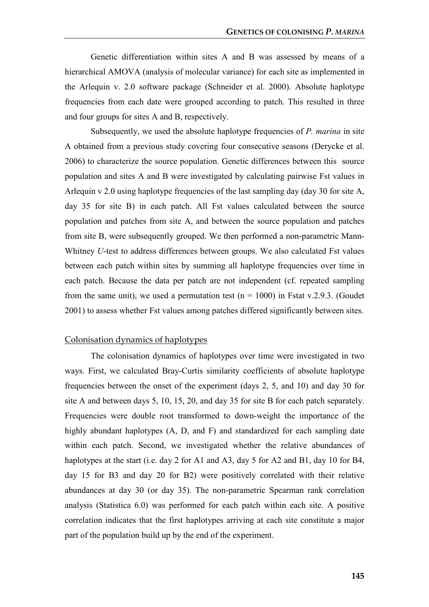Genetic differentiation within sites A and B was assessed by means of a hierarchical AMOVA (analysis of molecular variance) for each site as implemented in the Arlequin v. 2.0 software package (Schneider et al. 2000). Absolute haplotype frequencies from each date were grouped according to patch. This resulted in three and four groups for sites A and B, respectively.

Subsequently, we used the absolute haplotype frequencies of P. marina in site A obtained from a previous study covering four consecutive seasons (Derycke et al. 2006) to characterize the source population. Genetic differences between this source population and sites A and B were investigated by calculating pairwise Fst values in Arlequin v 2.0 using haplotype frequencies of the last sampling day (day 30 for site A, day 35 for site B) in each patch. All Fst values calculated between the source population and patches from site A, and between the source population and patches from site B, were subsequently grouped. We then performed a non-parametric Mann-Whitney *U*-test to address differences between groups. We also calculated Fst values between each patch within sites by summing all haplotype frequencies over time in each patch. Because the data per patch are not independent (cf. repeated sampling from the same unit), we used a permutation test ( $n = 1000$ ) in Fstat v.2.9.3. (Goudet 2001) to assess whether Fst values among patches differed significantly between sites.

### Colonisation dynamics of haplotypes

The colonisation dynamics of haplotypes over time were investigated in two ways. First, we calculated Bray-Curtis similarity coefficients of absolute haplotype frequencies between the onset of the experiment (days 2, 5, and 10) and day 30 for site A and between days 5, 10, 15, 20, and day 35 for site B for each patch separately. Frequencies were double root transformed to down-weight the importance of the highly abundant haplotypes (A, D, and F) and standardized for each sampling date within each patch. Second, we investigated whether the relative abundances of haplotypes at the start (i.e. day 2 for A1 and A3, day 5 for A2 and B1, day 10 for B4, day 15 for B3 and day 20 for B2) were positively correlated with their relative abundances at day 30 (or day 35). The non-parametric Spearman rank correlation analysis (Statistica 6.0) was performed for each patch within each site. A positive correlation indicates that the first haplotypes arriving at each site constitute a major part of the population build up by the end of the experiment.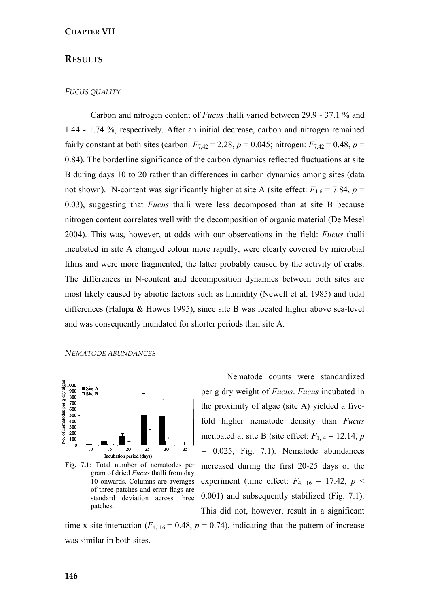# **RESULTS**

## FUCUS QUALITY

Carbon and nitrogen content of Fucus thalli varied between 29.9 - 37.1 % and 1.44 - 1.74 %, respectively. After an initial decrease, carbon and nitrogen remained fairly constant at both sites (carbon:  $F_{7,42} = 2.28$ ,  $p = 0.045$ ; nitrogen:  $F_{7,42} = 0.48$ ,  $p =$ 0.84). The borderline significance of the carbon dynamics reflected fluctuations at site B during days 10 to 20 rather than differences in carbon dynamics among sites (data not shown). N-content was significantly higher at site A (site effect:  $F_{1,6} = 7.84$ ,  $p =$  $0.03$ ), suggesting that *Fucus* thalli were less decomposed than at site B because nitrogen content correlates well with the decomposition of organic material (De Mesel 2004). This was, however, at odds with our observations in the field: Fucus thalli incubated in site A changed colour more rapidly, were clearly covered by microbial films and were more fragmented, the latter probably caused by the activity of crabs. The differences in N-content and decomposition dynamics between both sites are most likely caused by abiotic factors such as humidity (Newell et al. 1985) and tidal differences (Halupa & Howes 1995), since site B was located higher above sea-level and was consequently inundated for shorter periods than site A.

NEMATODE ABUNDANCES



Fig. 7.1: Total number of nematodes per gram of dried Fucus thalli from day 10 onwards. Columns are averages of three patches and error flags are standard deviation across three patches.

Nematode counts were standardized per g dry weight of Fucus. Fucus incubated in the proximity of algae (site A) yielded a fivefold higher nematode density than Fucus incubated at site B (site effect:  $F_{1,4} = 12.14$ , p = 0.025, Fig. 7.1). Nematode abundances increased during the first 20-25 days of the experiment (time effect:  $F_{4, 16} = 17.42$ ,  $p \le$ 0.001) and subsequently stabilized (Fig. 7.1). This did not, however, result in a significant

time x site interaction ( $F_{4, 16} = 0.48$ ,  $p = 0.74$ ), indicating that the pattern of increase was similar in both sites.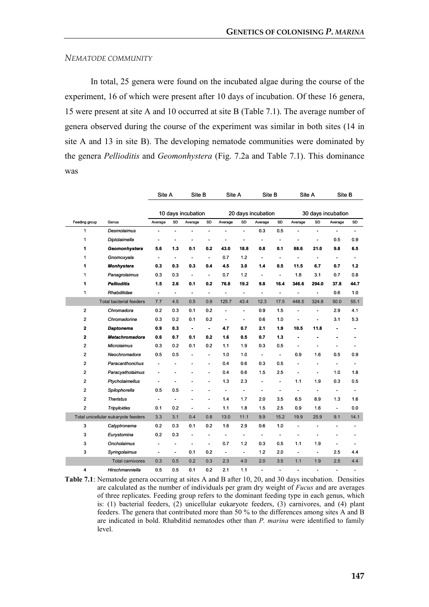#### NEMATODE COMMUNITY

In total, 25 genera were found on the incubated algae during the course of the experiment, 16 of which were present after 10 days of incubation. Of these 16 genera, 15 were present at site A and 10 occurred at site B (Table 7.1). The average number of genera observed during the course of the experiment was similar in both sites (14 in site A and 13 in site B). The developing nematode communities were dominated by the genera Pellioditis and Geomonhystera (Fig. 7.2a and Table 7.1). This dominance was

|                |                                     | Site A                   |                          | Site B                   |                          | Site A             |                | Site B                       |                              | Site A                   |                          | Site B                   |                          |
|----------------|-------------------------------------|--------------------------|--------------------------|--------------------------|--------------------------|--------------------|----------------|------------------------------|------------------------------|--------------------------|--------------------------|--------------------------|--------------------------|
|                |                                     | 10 days incubation       |                          |                          |                          | 20 days incubation |                |                              | 30 days incubation           |                          |                          |                          |                          |
| Feeding group  | Genus                               | Average                  | SD                       | Average                  | SD                       | Average            | SD             | Average                      | SD                           | Average                  | SD                       | Average                  | SD                       |
| 1              | <b>Desmolaimus</b>                  |                          |                          |                          | $\overline{a}$           |                    | ٠              | 0.3                          | 0.5                          |                          | $\overline{a}$           |                          | $\overline{\phantom{a}}$ |
| 1              | Diplolaimella                       | $\overline{\phantom{a}}$ |                          |                          |                          |                    | ÷,             | $\blacksquare$               | $\overline{a}$               |                          | $\overline{a}$           | 0.5                      | 0.9                      |
| 1              | Geomonhystera                       | 5.6                      | 1.3                      | 0.1                      | 0.2                      | 43.0               | 18.8           | 0.8                          | 0.1                          | 88.6                     | 21.0                     | 9.8                      | 6.5                      |
| 1              | Gnomoxyala                          | $\overline{\phantom{a}}$ | $\overline{\phantom{0}}$ | ٠                        | ÷,                       | 0.7                | 1.2            | $\qquad \qquad \blacksquare$ | -                            |                          |                          |                          |                          |
| 1              | Monhystera                          | 0.3                      | 0.3                      | 0.3                      | 0.4                      | 4.5                | 3.0            | 1.4                          | 0.5                          | 11.5                     | 6.7                      | 0.7                      | 1.2                      |
| 1              | Panagrolaimus                       | 0.3                      | 0.3                      | $\overline{a}$           | L,                       | 0.7                | 1.2            | $\overline{\phantom{a}}$     | $\overline{a}$               | 1.8                      | 3.1                      | 0.7                      | 0.8                      |
| 1              | <b>Pellioditis</b>                  | 1.5                      | 2.6                      | 0.1                      | 0.2                      | 76.8               | 19.2           | 9.8                          | 16.4                         | 346.6                    | 294.0                    | 37.8                     | 44.7                     |
| 1              | Rhabditidae                         | $\overline{\phantom{a}}$ | $\overline{\phantom{a}}$ | $\overline{\phantom{a}}$ | $\overline{a}$           | ÷,                 | ÷,             | $\overline{a}$               | $\qquad \qquad \blacksquare$ | $\overline{\phantom{a}}$ | $\overline{\phantom{a}}$ | 0.6                      | 1.0                      |
|                | <b>Total bacterial feeders</b>      | 7.7                      | 4.5                      | 0.5                      | 0.9                      | 125.7              | 43.4           | 12.3                         | 17.5                         | 448.5                    | 324.8                    | 50.0                     | 55.1                     |
| $\overline{2}$ | Chromadora                          | 0.2                      | 0.3                      | 0.1                      | 0.2                      | $\blacksquare$     | ÷,             | 0.9                          | 1.5                          | $\overline{\phantom{a}}$ | $\overline{a}$           | 2.9                      | 4.1                      |
| $\overline{2}$ | Chromadorina                        | 0.3                      | 0.2                      | 0.1                      | 0.2                      | Ĭ.                 | ÷,             | 0.6                          | 1.0                          |                          |                          | 3.1                      | 5.3                      |
| $\mathbf{2}$   | <b>Daptonema</b>                    | 0.9                      | 0.3                      | $\blacksquare$           | $\blacksquare$           | 4.7                | 0.7            | 2.1                          | 1.9                          | 10.5                     | 11.8                     |                          | $\blacksquare$           |
| $\mathbf{2}$   | <b>Metachromadora</b>               | 0.6                      | 0.7                      | 0.1                      | 0.2                      | 1.6                | 0.5            | 0.7                          | 1.3                          | $\blacksquare$           |                          |                          | ۰                        |
| $\overline{2}$ | <b>Microlaimus</b>                  | 0.3                      | 0.2                      | 0.1                      | 0.2                      | 1.1                | 1.9            | 0.3                          | 0.5                          | $\ddot{\phantom{1}}$     |                          | $\overline{a}$           | ٠                        |
| $\overline{2}$ | Neochromadora                       | 0.5                      | 0.5                      |                          | $\overline{\phantom{a}}$ | 1.0                | 1.0            | $\blacksquare$               | $\frac{1}{2}$                | 0.9                      | 1.6                      | 0.5                      | 0.9                      |
| $\mathbf 2$    | Paracanthonchus                     | ÷,                       |                          |                          | ٠                        | 0.4                | 0.6            | 0.3                          | 0.5                          | ä,                       | $\overline{\phantom{a}}$ | $\overline{\phantom{0}}$ |                          |
| $\overline{2}$ | Paracyatholaimus                    |                          |                          |                          |                          | 0.4                | 0.6            | 1.5                          | 2.5                          | $\blacksquare$           | $\overline{a}$           | 1.0                      | 1.8                      |
| $\mathbf 2$    | Ptycholaimellus                     |                          |                          |                          | ٠                        | 1.3                | 2.3            | $\blacksquare$               | $\qquad \qquad \blacksquare$ | 1.1                      | 1.9                      | 0.3                      | 0.5                      |
| $\overline{2}$ | Spilophorella                       | 0.5                      | 0.5                      |                          |                          | ÷,                 | ÷,             | ٠                            | -                            | $\overline{a}$           | $\overline{\phantom{a}}$ | $\overline{\phantom{a}}$ | $\blacksquare$           |
| $\overline{2}$ | <b>Theristus</b>                    | $\overline{\phantom{a}}$ |                          |                          |                          | 1.4                | 1.7            | 2.0                          | 3.5                          | 6.5                      | 8.9                      | 1.3                      | 1.6                      |
| $\overline{2}$ | <b>Tripyloides</b>                  | 0.1                      | 0.2                      | ٠                        | $\overline{\phantom{a}}$ | 1.1                | 1.8            | 1.5                          | 2.5                          | 0.9                      | 1.6                      | $\frac{1}{2}$            | 0.0                      |
|                | Total unicellular eukaryote feeders | 3.3                      | 3.1                      | 0.4                      | 0.8                      | 13.0               | 11.1           | 9.9                          | 15.2                         | 19.9                     | 25.9                     | 9.1                      | 14.1                     |
| 3              | Calyptronema                        | 0.2                      | 0.3                      | 0.1                      | 0.2                      | 1.6                | 2.9            | 0.6                          | 1.0                          | $\blacksquare$           | $\overline{a}$           | $\overline{a}$           | $\overline{\phantom{a}}$ |
| 3              | Eurystomina                         | 0.2                      | 0.3                      | ٠                        | ÷,                       | ٠                  | ÷,             | $\overline{a}$               |                              |                          |                          |                          | ٠                        |
| 3              | Oncholaimus                         | $\overline{\phantom{a}}$ |                          | ٠                        | $\overline{a}$           | 0.7                | 1.2            | 0.3                          | 0.5                          | 1.1                      | 1.9                      | $\overline{a}$           | $\blacksquare$           |
| 3              | Syringolaimus                       | $\overline{\phantom{a}}$ | $\overline{\phantom{a}}$ | 0.1                      | 0.2                      | $\blacksquare$     | $\blacksquare$ | 1.2                          | 2.0                          | $\overline{\phantom{a}}$ | $\overline{\phantom{a}}$ | 2.5                      | 4.4                      |
|                | <b>Total carnivores</b>             | 0.3                      | 0.5                      | 0.2                      | 0.3                      | 2.3                | 4.0            | 2.0                          | 3.5                          | 1.1                      | 1.9                      | 2.5                      | 4.4                      |
| 4              | Hirschmanniella                     | 0.5                      | 0.5                      | 0.1                      | 0.2                      | 2.1                | 1.1            | ÷,                           |                              | $\overline{\phantom{a}}$ |                          | $\overline{\phantom{a}}$ | $\overline{\phantom{a}}$ |

Table 7.1: Nematode genera occurring at sites A and B after 10, 20, and 30 days incubation. Densities are calculated as the number of individuals per gram dry weight of Fucus and are averages of three replicates. Feeding group refers to the dominant feeding type in each genus, which is: (1) bacterial feeders, (2) unicellular eukaryote feeders, (3) carnivores, and (4) plant feeders. The genera that contributed more than 50 % to the differences among sites A and B are indicated in bold. Rhabditid nematodes other than P. marina were identified to family level.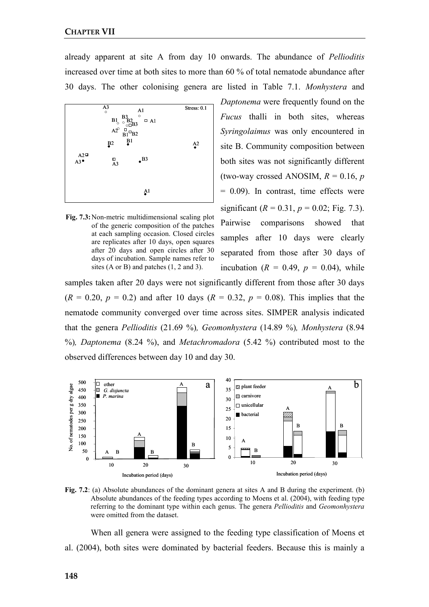already apparent at site A from day 10 onwards. The abundance of Pellioditis increased over time at both sites to more than 60 % of total nematode abundance after 30 days. The other colonising genera are listed in Table 7.1. Monhystera and



Fig. 7.3: Non-metric multidimensional scaling plot of the generic composition of the patches at each sampling occasion. Closed circles are replicates after 10 days, open squares after 20 days and open circles after 30 days of incubation. Sample names refer to sites (A or B) and patches (1, 2 and 3).

Daptonema were frequently found on the Fucus thalli in both sites, whereas Syringolaimus was only encountered in site B. Community composition between both sites was not significantly different (two-way crossed ANOSIM,  $R = 0.16$ , p  $= 0.09$ ). In contrast, time effects were significant ( $R = 0.31$ ,  $p = 0.02$ ; Fig. 7.3). Pairwise comparisons showed that samples after 10 days were clearly separated from those after 30 days of incubation ( $R = 0.49$ ,  $p = 0.04$ ), while

samples taken after 20 days were not significantly different from those after 30 days  $(R = 0.20, p = 0.2)$  and after 10 days  $(R = 0.32, p = 0.08)$ . This implies that the nematode community converged over time across sites. SIMPER analysis indicated that the genera Pellioditis (21.69 %), Geomonhystera (14.89 %), Monhystera (8.94  $\%$ ), Daptonema (8.24  $\%$ ), and Metachromadora (5.42  $\%$ ) contributed most to the observed differences between day 10 and day 30.



Fig. 7.2: (a) Absolute abundances of the dominant genera at sites A and B during the experiment. (b) Absolute abundances of the feeding types according to Moens et al. (2004), with feeding type referring to the dominant type within each genus. The genera Pellioditis and Geomonhystera were omitted from the dataset.

When all genera were assigned to the feeding type classification of Moens et al. (2004), both sites were dominated by bacterial feeders. Because this is mainly a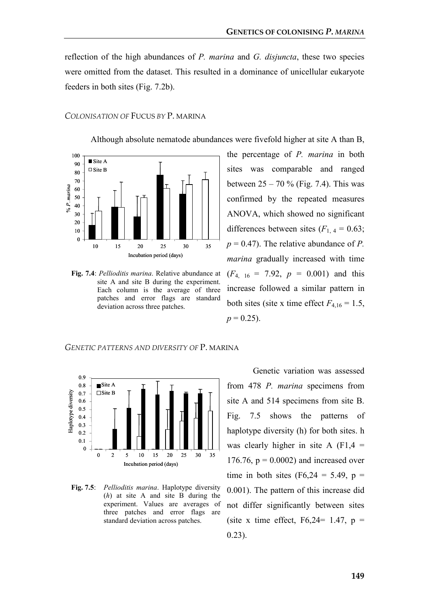reflection of the high abundances of P. marina and G. disjuncta, these two species were omitted from the dataset. This resulted in a dominance of unicellular eukaryote feeders in both sites (Fig. 7.2b).

# COLONISATION OF FUCUS BY P. MARINA

Although absolute nematode abundances were fivefold higher at site A than B,



Fig. 7.4: Pellioditis marina. Relative abundance at site A and site B during the experiment. Each column is the average of three patches and error flags are standard deviation across three patches.

the percentage of P. marina in both sites was comparable and ranged between  $25 - 70 \%$  (Fig. 7.4). This was confirmed by the repeated measures ANOVA, which showed no significant differences between sites  $(F<sub>1, 4</sub> = 0.63)$ ;  $p = 0.47$ ). The relative abundance of P. marina gradually increased with time  $(F_{4, 16} = 7.92, p = 0.001)$  and this increase followed a similar pattern in both sites (site x time effect  $F_{4,16} = 1.5$ ,  $p = 0.25$ ).





Fig. 7.5: Pellioditis marina. Haplotype diversity (h) at site A and site B during the experiment. Values are averages of three patches and error flags are standard deviation across patches.

Genetic variation was assessed from 478 P. marina specimens from site A and 514 specimens from site B. Fig. 7.5 shows the patterns of haplotype diversity (h) for both sites. h was clearly higher in site A  $(F1,4 =$ 176.76,  $p = 0.0002$ ) and increased over time in both sites  $(F6, 24 = 5.49, p =$ 0.001). The pattern of this increase did not differ significantly between sites (site x time effect,  $F6,24=1.47$ ,  $p =$ 0.23).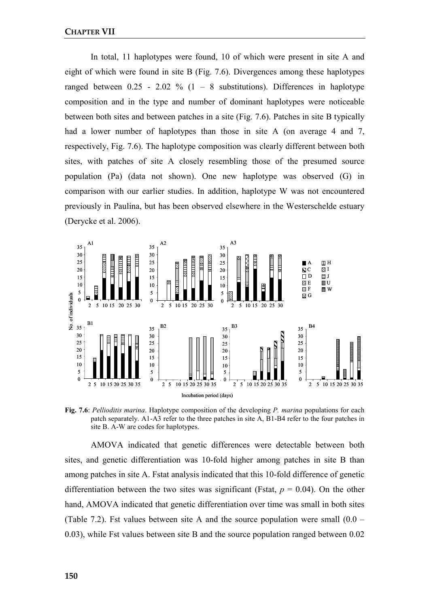In total, 11 haplotypes were found, 10 of which were present in site A and eight of which were found in site B (Fig. 7.6). Divergences among these haplotypes ranged between  $0.25 - 2.02 \%$  (1 – 8 substitutions). Differences in haplotype composition and in the type and number of dominant haplotypes were noticeable between both sites and between patches in a site (Fig. 7.6). Patches in site B typically had a lower number of haplotypes than those in site A (on average 4 and 7, respectively, Fig. 7.6). The haplotype composition was clearly different between both sites, with patches of site A closely resembling those of the presumed source population (Pa) (data not shown). One new haplotype was observed (G) in comparison with our earlier studies. In addition, haplotype W was not encountered previously in Paulina, but has been observed elsewhere in the Westerschelde estuary (Derycke et al. 2006).



Fig. 7.6: Pellioditis marina. Haplotype composition of the developing P. marina populations for each patch separately. A1-A3 refer to the three patches in site A, B1-B4 refer to the four patches in site B. A-W are codes for haplotypes.

AMOVA indicated that genetic differences were detectable between both sites, and genetic differentiation was 10-fold higher among patches in site B than among patches in site A. Fstat analysis indicated that this 10-fold difference of genetic differentiation between the two sites was significant (Fstat,  $p = 0.04$ ). On the other hand, AMOVA indicated that genetic differentiation over time was small in both sites (Table 7.2). Fst values between site A and the source population were small  $(0.0 -$ 0.03), while Fst values between site B and the source population ranged between 0.02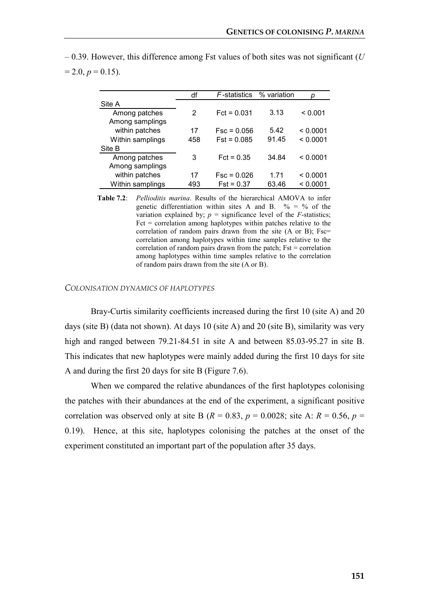|                                  | df  | F-statistics  | % variation |          |
|----------------------------------|-----|---------------|-------------|----------|
| Site A                           |     |               |             |          |
| Among patches<br>Among samplings | 2   | $Fct = 0.031$ | 3.13        | < 0.001  |
| within patches                   | 17  | $Fsc = 0.056$ | 5.42        | < 0.0001 |
| Within samplings                 | 458 | $Fst = 0.085$ | 91.45       | < 0.0001 |
| Site B                           |     |               |             |          |
| Among patches<br>Among samplings | 3   | $Fct = 0.35$  | 34.84       | < 0.0001 |
| within patches                   | 17  | $Fsc = 0.026$ | 1 71        | < 0.0001 |
| Within samplings                 | 493 | $Fst = 0.37$  | 63.46       | < 0.0001 |

 $-0.39$ . However, this difference among Fst values of both sites was not significant (U  $= 2.0, p = 0.15$ ).

> Table 7.2: Pellioditis marina. Results of the hierarchical AMOVA to infer genetic differentiation within sites A and B.  $\% = \%$  of the variation explained by;  $p =$  significance level of the  $F$ -statistics;  $Fct = correlation$  among haplotypes within patches relative to the correlation of random pairs drawn from the site (A or B); Fsc= correlation among haplotypes within time samples relative to the correlation of random pairs drawn from the patch; Fst = correlation among haplotypes within time samples relative to the correlation of random pairs drawn from the site (A or B).

#### COLONISATION DYNAMICS OF HAPLOTYPES

Bray-Curtis similarity coefficients increased during the first 10 (site A) and 20 days (site B) (data not shown). At days 10 (site A) and 20 (site B), similarity was very high and ranged between 79.21-84.51 in site A and between 85.03-95.27 in site B. This indicates that new haplotypes were mainly added during the first 10 days for site A and during the first 20 days for site B (Figure 7.6).

When we compared the relative abundances of the first haplotypes colonising the patches with their abundances at the end of the experiment, a significant positive correlation was observed only at site B ( $R = 0.83$ ,  $p = 0.0028$ ; site A:  $R = 0.56$ ,  $p =$ 0.19). Hence, at this site, haplotypes colonising the patches at the onset of the experiment constituted an important part of the population after 35 days.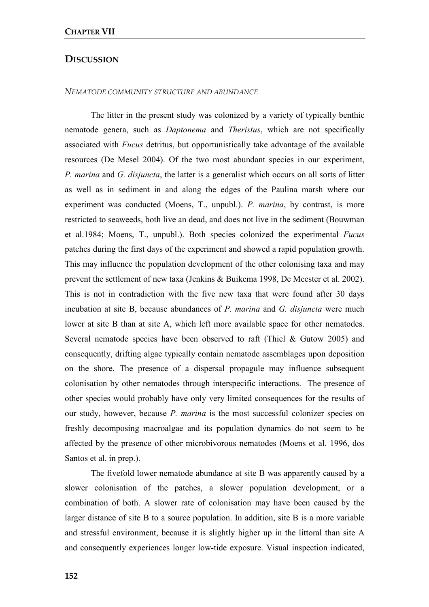# **DISCUSSION**

#### NEMATODE COMMUNITY STRUCTURE AND ABUNDANCE

The litter in the present study was colonized by a variety of typically benthic nematode genera, such as Daptonema and Theristus, which are not specifically associated with Fucus detritus, but opportunistically take advantage of the available resources (De Mesel 2004). Of the two most abundant species in our experiment, P. marina and G. disjuncta, the latter is a generalist which occurs on all sorts of litter as well as in sediment in and along the edges of the Paulina marsh where our experiment was conducted (Moens, T., unpubl.). P. marina, by contrast, is more restricted to seaweeds, both live an dead, and does not live in the sediment (Bouwman et al.1984; Moens, T., unpubl.). Both species colonized the experimental Fucus patches during the first days of the experiment and showed a rapid population growth. This may influence the population development of the other colonising taxa and may prevent the settlement of new taxa (Jenkins & Buikema 1998, De Meester et al. 2002). This is not in contradiction with the five new taxa that were found after 30 days incubation at site B, because abundances of P. marina and G. disjuncta were much lower at site B than at site A, which left more available space for other nematodes. Several nematode species have been observed to raft (Thiel & Gutow 2005) and consequently, drifting algae typically contain nematode assemblages upon deposition on the shore. The presence of a dispersal propagule may influence subsequent colonisation by other nematodes through interspecific interactions. The presence of other species would probably have only very limited consequences for the results of our study, however, because P. marina is the most successful colonizer species on freshly decomposing macroalgae and its population dynamics do not seem to be affected by the presence of other microbivorous nematodes (Moens et al. 1996, dos Santos et al. in prep.).

The fivefold lower nematode abundance at site B was apparently caused by a slower colonisation of the patches, a slower population development, or a combination of both. A slower rate of colonisation may have been caused by the larger distance of site B to a source population. In addition, site B is a more variable and stressful environment, because it is slightly higher up in the littoral than site A and consequently experiences longer low-tide exposure. Visual inspection indicated,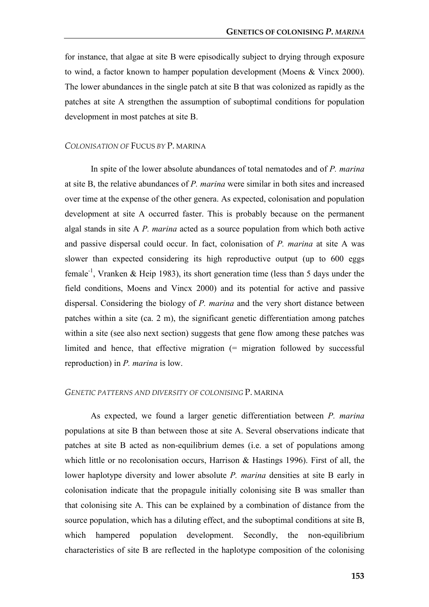for instance, that algae at site B were episodically subject to drying through exposure to wind, a factor known to hamper population development (Moens & Vincx 2000). The lower abundances in the single patch at site B that was colonized as rapidly as the patches at site A strengthen the assumption of suboptimal conditions for population development in most patches at site B.

#### COLONISATION OF FUCUS BY P. MARINA

In spite of the lower absolute abundances of total nematodes and of P. marina at site B, the relative abundances of  $P$ . *marina* were similar in both sites and increased over time at the expense of the other genera. As expected, colonisation and population development at site A occurred faster. This is probably because on the permanent algal stands in site A P. marina acted as a source population from which both active and passive dispersal could occur. In fact, colonisation of P. marina at site A was slower than expected considering its high reproductive output (up to 600 eggs female<sup>-1</sup>, Vranken & Heip 1983), its short generation time (less than 5 days under the field conditions, Moens and Vincx 2000) and its potential for active and passive dispersal. Considering the biology of P. marina and the very short distance between patches within a site (ca. 2 m), the significant genetic differentiation among patches within a site (see also next section) suggests that gene flow among these patches was limited and hence, that effective migration (= migration followed by successful reproduction) in P. marina is low.

#### GENETIC PATTERNS AND DIVERSITY OF COLONISING P. MARINA

As expected, we found a larger genetic differentiation between P. marina populations at site B than between those at site A. Several observations indicate that patches at site B acted as non-equilibrium demes (i.e. a set of populations among which little or no recolonisation occurs, Harrison & Hastings 1996). First of all, the lower haplotype diversity and lower absolute P. marina densities at site B early in colonisation indicate that the propagule initially colonising site B was smaller than that colonising site A. This can be explained by a combination of distance from the source population, which has a diluting effect, and the suboptimal conditions at site B, which hampered population development. Secondly, the non-equilibrium characteristics of site B are reflected in the haplotype composition of the colonising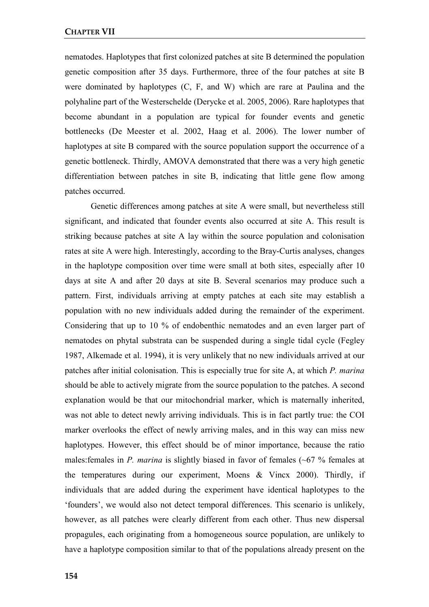nematodes. Haplotypes that first colonized patches at site B determined the population genetic composition after 35 days. Furthermore, three of the four patches at site B were dominated by haplotypes (C, F, and W) which are rare at Paulina and the polyhaline part of the Westerschelde (Derycke et al. 2005, 2006). Rare haplotypes that become abundant in a population are typical for founder events and genetic bottlenecks (De Meester et al. 2002, Haag et al. 2006). The lower number of haplotypes at site B compared with the source population support the occurrence of a genetic bottleneck. Thirdly, AMOVA demonstrated that there was a very high genetic differentiation between patches in site B, indicating that little gene flow among patches occurred.

Genetic differences among patches at site A were small, but nevertheless still significant, and indicated that founder events also occurred at site A. This result is striking because patches at site A lay within the source population and colonisation rates at site A were high. Interestingly, according to the Bray-Curtis analyses, changes in the haplotype composition over time were small at both sites, especially after 10 days at site A and after 20 days at site B. Several scenarios may produce such a pattern. First, individuals arriving at empty patches at each site may establish a population with no new individuals added during the remainder of the experiment. Considering that up to 10 % of endobenthic nematodes and an even larger part of nematodes on phytal substrata can be suspended during a single tidal cycle (Fegley 1987, Alkemade et al. 1994), it is very unlikely that no new individuals arrived at our patches after initial colonisation. This is especially true for site A, at which P. marina should be able to actively migrate from the source population to the patches. A second explanation would be that our mitochondrial marker, which is maternally inherited, was not able to detect newly arriving individuals. This is in fact partly true: the COI marker overlooks the effect of newly arriving males, and in this way can miss new haplotypes. However, this effect should be of minor importance, because the ratio males: females in P. marina is slightly biased in favor of females  $(-67\%$  females at the temperatures during our experiment, Moens & Vincx 2000). Thirdly, if individuals that are added during the experiment have identical haplotypes to the 'founders', we would also not detect temporal differences. This scenario is unlikely, however, as all patches were clearly different from each other. Thus new dispersal propagules, each originating from a homogeneous source population, are unlikely to have a haplotype composition similar to that of the populations already present on the